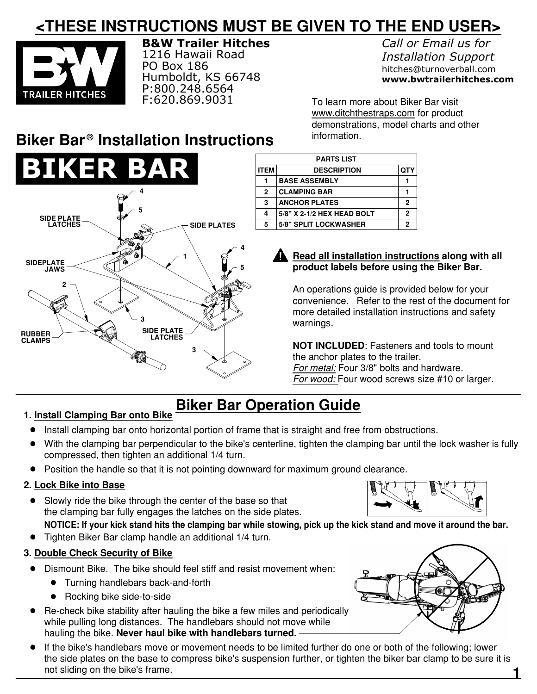# **<THESE INSTRUCTIONS MUST BE GIVEN TO THE END USER>**



**B&W Trailer Hitches** 1216 Hawaii Road PO Box 186 Humboldt, KS 66748 P:800.248.6564 F:620.869.9031

*Call or Email us for Installation Support* hitches@turnoverball.com **www.bwtrailerhitches.com**

To learn more about Biker Bar visit www.ditchthestraps.com for product demonstrations, model charts and other information.

# **Biker Bar<sup>®</sup> Installation Instructions**



| <b>PARTS LIST</b> |                              |     |
|-------------------|------------------------------|-----|
| <b>ITEM</b>       | <b>DESCRIPTION</b>           | QTY |
|                   | <b>BASE ASSEMBLY</b>         |     |
| $\mathbf{2}$      | <b>CLAMPING BAR</b>          |     |
| 3                 | <b>ANCHOR PLATES</b>         | 2   |
| 4                 | 5/8" X 2-1/2 HEX HEAD BOLT   | 2   |
| 5                 | <b>5/8" SPLIT LOCKWASHER</b> | 2   |
|                   |                              |     |

### **Read all installation instructions along with all product labels before using the Biker Bar.**

An operations guide is provided below for your convenience. Refer to the rest of the document for more detailed installation instructions and safety warnings.

**NOT INCLUDED**: Fasteners and tools to mount the anchor plates to the trailer. *For metal:* Four 3/8" bolts and hardware. *For wood:* Four wood screws size #10 or larger.

# **Biker Bar Operation Guide**

## **1. Install Clamping Bar onto Bike**

- Install clamping bar onto horizontal portion of frame that is straight and free from obstructions.
- With the clamping bar perpendicular to the bike's centerline, tighten the clamping bar until the lock washer is fully compressed, then tighten an additional 1/4 turn.
- Position the handle so that it is not pointing downward for maximum ground clearance.

## **2. Lock Bike into Base**

- Slowly ride the bike through the center of the base so that the clamping bar fully engages the latches on the side plates.
	- **NOTICE: If your kick stand hits the clamping bar while stowing, pick up the kick stand and move it around the bar.**
- Tighten Biker Bar clamp handle an additional 1/4 turn.

## **3. Double Check Security of Bike**

- Dismount Bike. The bike should feel stiff and resist movement when:
	- Turning handlebars back−and−forth
	- Rocking bike side-to-side
- Re−check bike stability after hauling the bike a few miles and periodically while pulling long distances. The handlebars should not move while hauling the bike. **Never haul bike with handlebars turned.**
- If the bike's handlebars move or movement needs to be limited further do one or both of the following; lower the side plates on the base to compress bike's suspension further, or tighten the biker bar clamp to be sure it is not sliding on the bike's frame.





**1**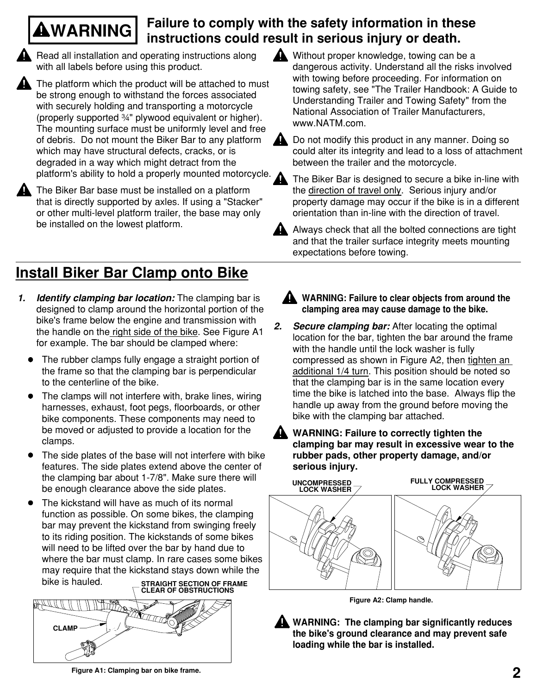## **WARNING Failure to comply with the safety information in these instructions could result in serious injury or death.**

Read all installation and operating instructions along with all labels before using this product.

The platform which the product will be attached to must be strong enough to withstand the forces associated with securely holding and transporting a motorcycle (properly supported ¾" plywood equivalent or higher). The mounting surface must be uniformly level and free of debris. Do not mount the Biker Bar to any platform which may have structural defects, cracks, or is degraded in a way which might detract from the platform's ability to hold a properly mounted motorcycle.

The Biker Bar base must be installed on a platform that is directly supported by axles. If using a "Stacker" or other multi−level platform trailer, the base may only

# **Install Biker Bar Clamp onto Bike**

- *1.* Identify clamping bar location: The clamping bar is designed to clamp around the horizontal portion of the bike's frame below the engine and transmission with the handle on the right side of the bike. See Figure A1 for example. The bar should be clamped where:
	- The rubber clamps fully engage a straight portion of the frame so that the clamping bar is perpendicular to the centerline of the bike.
	- $\bullet$ The clamps will not interfere with, brake lines, wiring harnesses, exhaust, foot pegs, floorboards, or other bike components. These components may need to be moved or adjusted to provide a location for the clamps.
	- The side plates of the base will not interfere with bike features. The side plates extend above the center of the clamping bar about 1−7/8". Make sure there will be enough clearance above the side plates.
	- The kickstand will have as much of its normal function as possible. On some bikes, the clamping bar may prevent the kickstand from swinging freely to its riding position. The kickstands of some bikes will need to be lifted over the bar by hand due to where the bar must clamp. In rare cases some bikes may require that the kickstand stays down while the bike is hauled.



Without proper knowledge, towing can be a dangerous activity. Understand all the risks involved with towing before proceeding. For information on towing safety, see "The Trailer Handbook: A Guide to Understanding Trailer and Towing Safety" from the National Association of Trailer Manufacturers, www.NATM.com.



Do not modify this product in any manner. Doing so could alter its integrity and lead to a loss of attachment between the trailer and the motorcycle.



The Biker Bar is designed to secure a bike in−line with the direction of travel only. Serious injury and/or property damage may occur if the bike is in a different orientation than in−line with the direction of travel.

be installed on the lowest platform.<br>
Always check that all the bolted connections are tight and that the trailer surface integrity meets mounting expectations before towing.

- **WARNING: Failure to clear objects from around the clamping area may cause damage to the bike.**
- *Secure clamping bar:* After locating the optimal location for the bar, tighten the bar around the frame with the handle until the lock washer is fully compressed as shown in Figure A2, then tighten an additional 1/4 turn. This position should be noted so that the clamping bar is in the same location every time the bike is latched into the base. Always flip the handle up away from the ground before moving the bike with the clamping bar attached. *2.*
	- **WARNING: Failure to correctly tighten the clamping bar may result in excessive wear to the rubber pads, other property damage, and/or serious injury.**



**Figure A2: Clamp handle.**

**WARNING: The clamping bar significantly reduces the bike's ground clearance and may prevent safe loading while the bar is installed.**

**Figure A1: Clamping bar on bike frame.**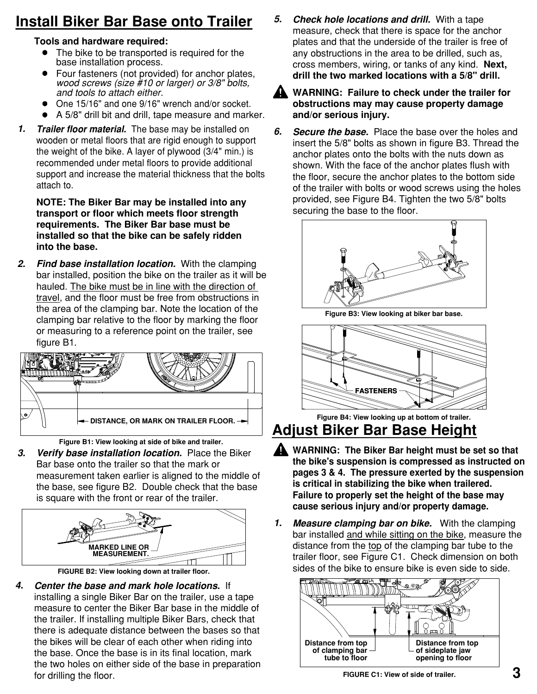# **Install Biker Bar Base onto Trailer**

## **Tools and hardware required:**

- The bike to be transported is required for the base installation process.
- Four fasteners (not provided) for anchor plates, *wood screws (size #10 or larger) or 3/8" bolts, and tools to attach either.*
- One 15/16" and one 9/16" wrench and/or socket.
- A 5/8" drill bit and drill, tape measure and marker.
- *Trailer floor material.* The base may be installed on wooden or metal floors that are rigid enough to support the weight of the bike. A layer of plywood (3/4" min.) is recommended under metal floors to provide additional support and increase the material thickness that the bolts attach to. *1.*

**NOTE: The Biker Bar may be installed into any transport or floor which meets floor strength requirements. The Biker Bar base must be installed so that the bike can be safely ridden into the base.** 

*Find base installation location.* With the clamping bar installed, position the bike on the trailer as it will be hauled. The bike must be in line with the direction of travel, and the floor must be free from obstructions in the area of the clamping bar. Note the location of the clamping bar relative to the floor by marking the floor or measuring to a reference point on the trailer, see figure B1**.** *2.*



**Figure B1: View looking at side of bike and trailer.**

*Verify base installation location.* Place the Biker Bar base onto the trailer so that the mark or measurement taken earlier is aligned to the middle of the base, see figure B2. Double check that the base is square with the front or rear of the trailer. *3.*



**FIGURE B2: View looking down at trailer floor.**

*Center the base and mark hole locations.* If installing a single Biker Bar on the trailer, use a tape measure to center the Biker Bar base in the middle of the trailer. If installing multiple Biker Bars, check that there is adequate distance between the bases so that the bikes will be clear of each other when riding into the base. Once the base is in its final location, mark the two holes on either side of the base in preparation for drilling the floor. *4.*

*Check hole locations and drill.* With a tape measure, check that there is space for the anchor plates and that the underside of the trailer is free of any obstructions in the area to be drilled, such as, cross members, wiring, or tanks of any kind. **Next, drill the two marked locations with a 5/8" drill.** *5.*



**WARNING: Failure to check under the trailer for obstructions may may cause property damage and/or serious injury.**

**Secure the base.** Place the base over the holes and insert the 5/8" bolts as shown in figure B3. Thread the anchor plates onto the bolts with the nuts down as shown. With the face of the anchor plates flush with the floor, secure the anchor plates to the bottom side of the trailer with bolts or wood screws using the holes provided, see Figure B4. Tighten the two 5/8" bolts securing the base to the floor. *6.*



**Figure B3: View looking at biker bar base.**



**Figure B4: View looking up at bottom of trailer.**

**Adjust Biker Bar Base Height**

- **WARNING: The Biker Bar height must be set so that the bike's suspension is compressed as instructed on pages 3 & 4. The pressure exerted by the suspension is critical in stabilizing the bike when trailered. Failure to properly set the height of the base may cause serious injury and/or property damage.**
- *Measure clamping bar on bike.* With the clamping bar installed and while sitting on the bike, measure the distance from the top of the clamping bar tube to the trailer floor, see Figure C1. Check dimension on both sides of the bike to ensure bike is even side to side. *1.*